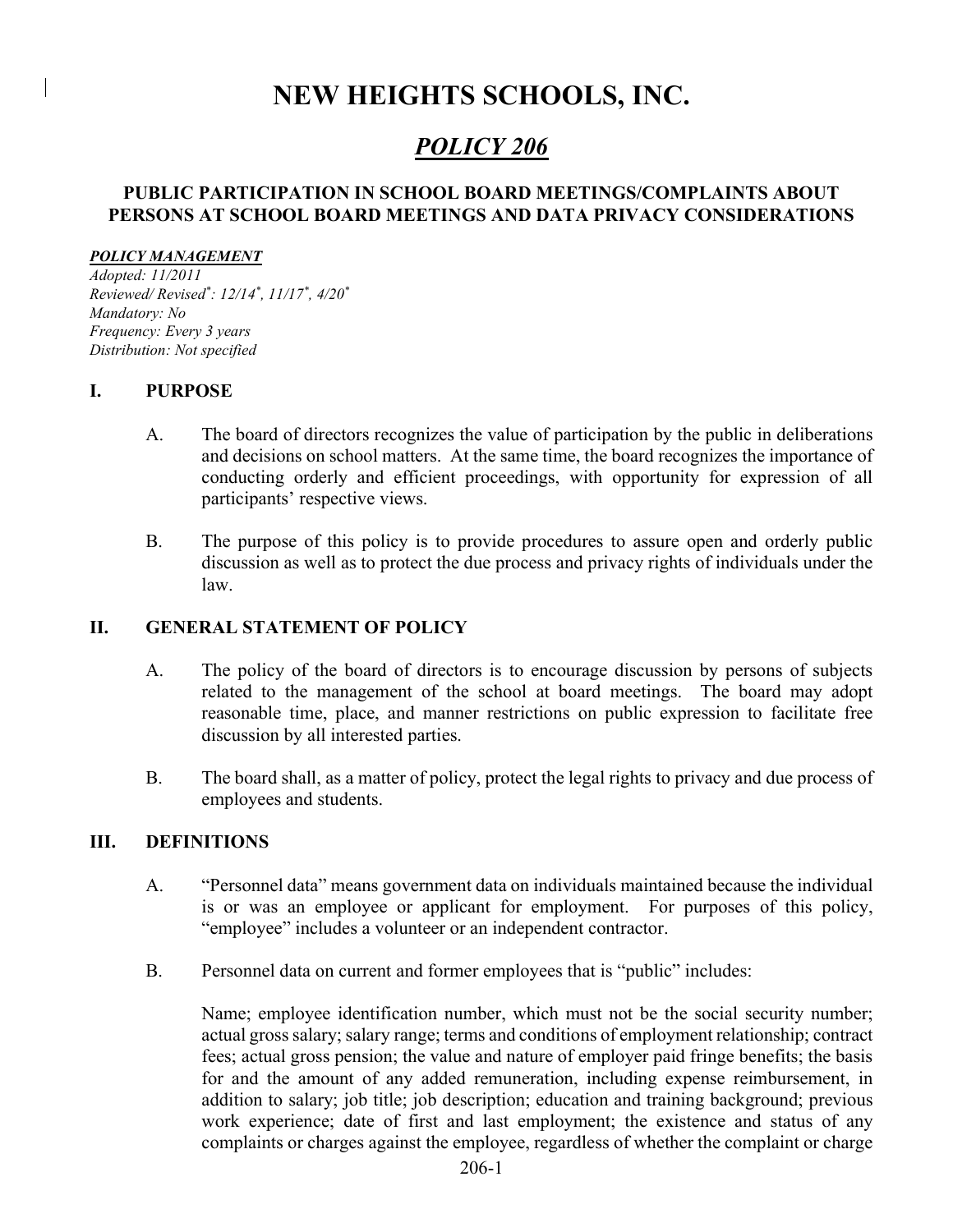# NEW HEIGHTS SCHOOLS, INC.

## POLICY 206

## PUBLIC PARTICIPATION IN SCHOOL BOARD MEETINGS/COMPLAINTS ABOUT PERSONS AT SCHOOL BOARD MEETINGS AND DATA PRIVACY CONSIDERATIONS

#### POLICY MANAGEMENT

Adopted: 11/2011 Reviewed/ Revised\* : 12/14\* , 11/17\* , 4/20\* Mandatory: No Frequency: Every 3 years Distribution: Not specified

#### I. PURPOSE

- A. The board of directors recognizes the value of participation by the public in deliberations and decisions on school matters. At the same time, the board recognizes the importance of conducting orderly and efficient proceedings, with opportunity for expression of all participants' respective views.
- B. The purpose of this policy is to provide procedures to assure open and orderly public discussion as well as to protect the due process and privacy rights of individuals under the law.

#### II. GENERAL STATEMENT OF POLICY

- A. The policy of the board of directors is to encourage discussion by persons of subjects related to the management of the school at board meetings. The board may adopt reasonable time, place, and manner restrictions on public expression to facilitate free discussion by all interested parties.
- B. The board shall, as a matter of policy, protect the legal rights to privacy and due process of employees and students.

#### III. DEFINITIONS

- A. "Personnel data" means government data on individuals maintained because the individual is or was an employee or applicant for employment. For purposes of this policy, "employee" includes a volunteer or an independent contractor.
- B. Personnel data on current and former employees that is "public" includes:

Name; employee identification number, which must not be the social security number; actual gross salary; salary range; terms and conditions of employment relationship; contract fees; actual gross pension; the value and nature of employer paid fringe benefits; the basis for and the amount of any added remuneration, including expense reimbursement, in addition to salary; job title; job description; education and training background; previous work experience; date of first and last employment; the existence and status of any complaints or charges against the employee, regardless of whether the complaint or charge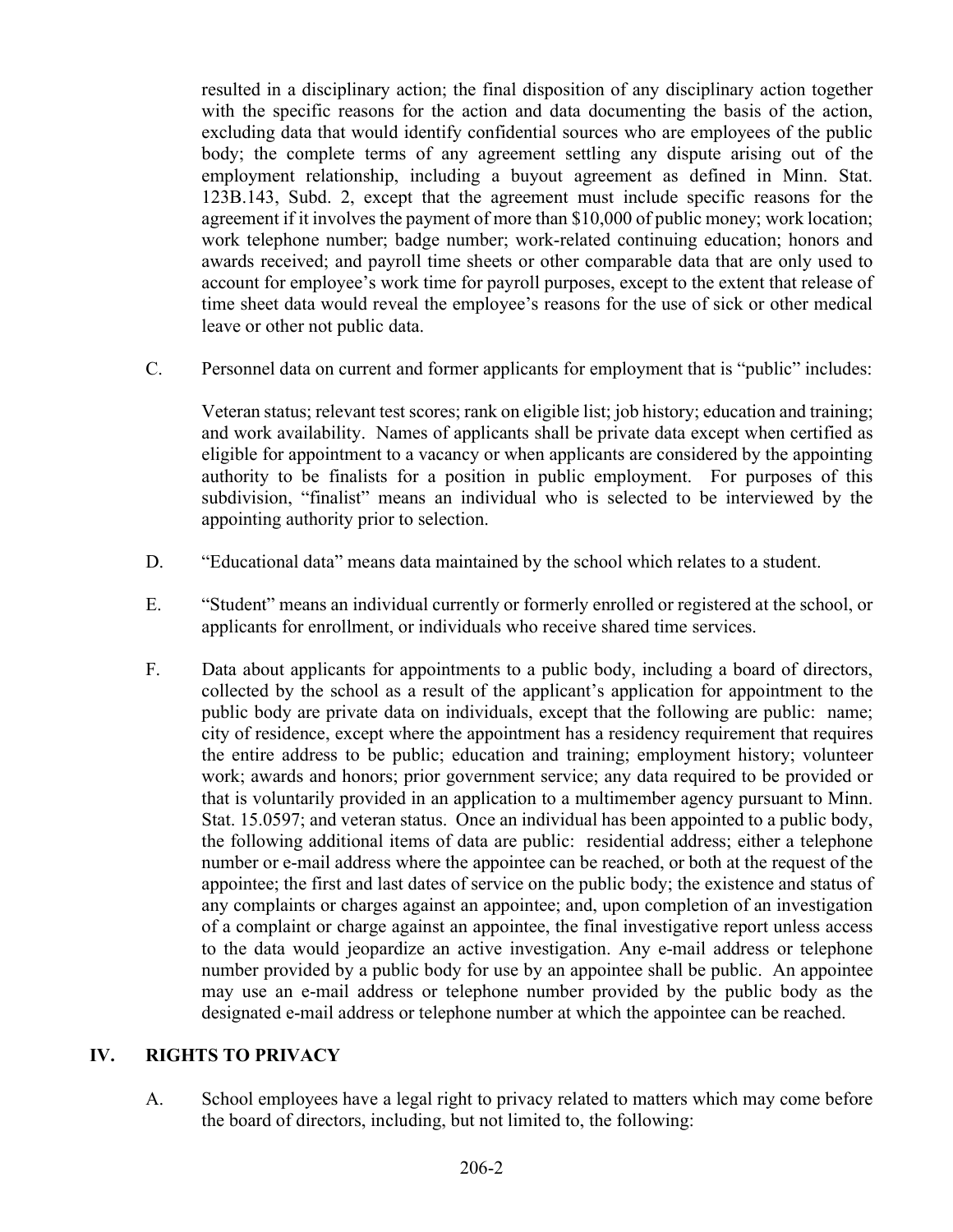resulted in a disciplinary action; the final disposition of any disciplinary action together with the specific reasons for the action and data documenting the basis of the action, excluding data that would identify confidential sources who are employees of the public body; the complete terms of any agreement settling any dispute arising out of the employment relationship, including a buyout agreement as defined in Minn. Stat. 123B.143, Subd. 2, except that the agreement must include specific reasons for the agreement if it involves the payment of more than \$10,000 of public money; work location; work telephone number; badge number; work-related continuing education; honors and awards received; and payroll time sheets or other comparable data that are only used to account for employee's work time for payroll purposes, except to the extent that release of time sheet data would reveal the employee's reasons for the use of sick or other medical leave or other not public data.

C. Personnel data on current and former applicants for employment that is "public" includes:

Veteran status; relevant test scores; rank on eligible list; job history; education and training; and work availability. Names of applicants shall be private data except when certified as eligible for appointment to a vacancy or when applicants are considered by the appointing authority to be finalists for a position in public employment. For purposes of this subdivision, "finalist" means an individual who is selected to be interviewed by the appointing authority prior to selection.

- D. "Educational data" means data maintained by the school which relates to a student.
- E. "Student" means an individual currently or formerly enrolled or registered at the school, or applicants for enrollment, or individuals who receive shared time services.
- F. Data about applicants for appointments to a public body, including a board of directors, collected by the school as a result of the applicant's application for appointment to the public body are private data on individuals, except that the following are public: name; city of residence, except where the appointment has a residency requirement that requires the entire address to be public; education and training; employment history; volunteer work; awards and honors; prior government service; any data required to be provided or that is voluntarily provided in an application to a multimember agency pursuant to Minn. Stat. 15.0597; and veteran status. Once an individual has been appointed to a public body, the following additional items of data are public: residential address; either a telephone number or e-mail address where the appointee can be reached, or both at the request of the appointee; the first and last dates of service on the public body; the existence and status of any complaints or charges against an appointee; and, upon completion of an investigation of a complaint or charge against an appointee, the final investigative report unless access to the data would jeopardize an active investigation. Any e-mail address or telephone number provided by a public body for use by an appointee shall be public. An appointee may use an e-mail address or telephone number provided by the public body as the designated e-mail address or telephone number at which the appointee can be reached.

#### IV. RIGHTS TO PRIVACY

A. School employees have a legal right to privacy related to matters which may come before the board of directors, including, but not limited to, the following: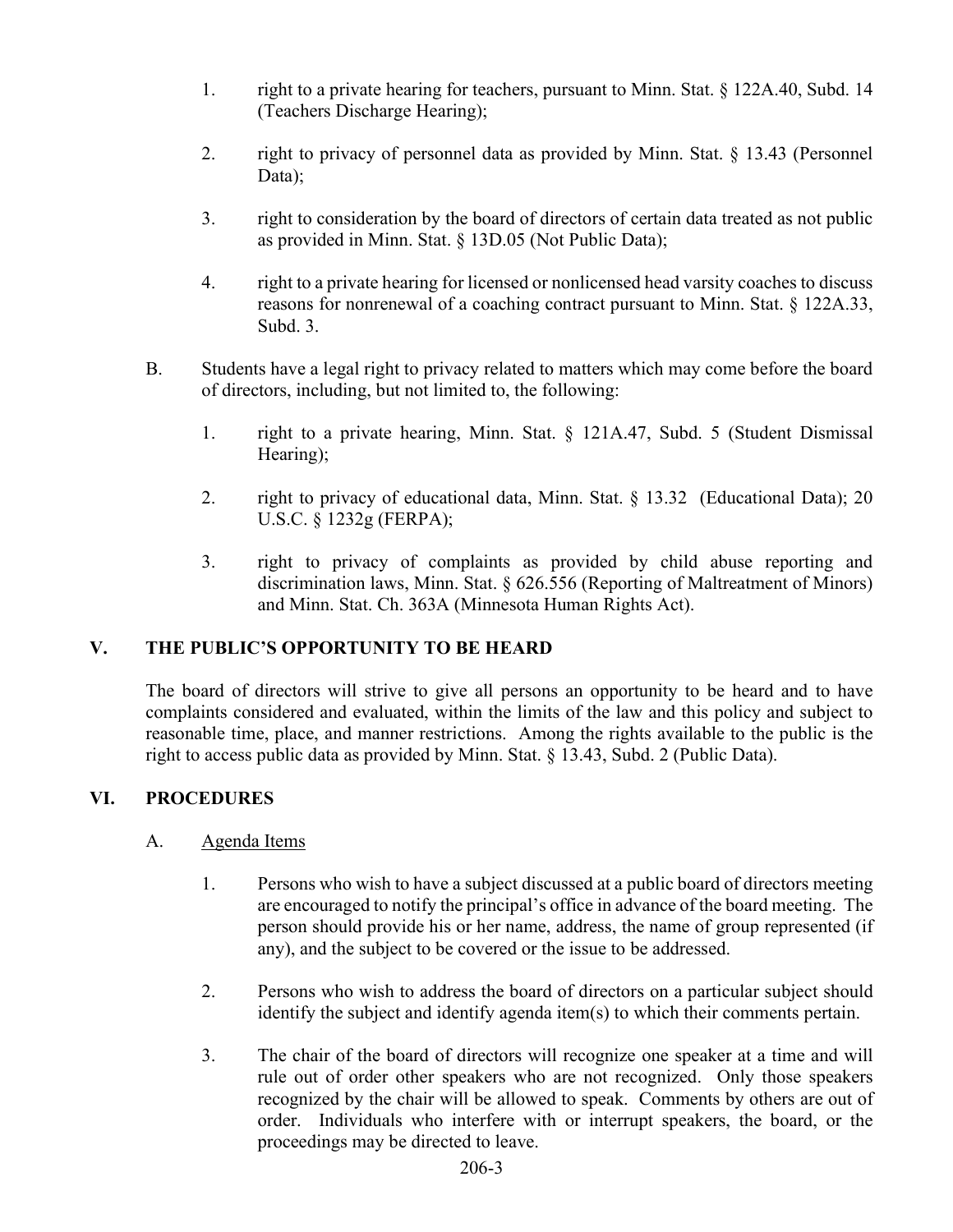- 1. right to a private hearing for teachers, pursuant to Minn. Stat. § 122A.40, Subd. 14 (Teachers Discharge Hearing);
- 2. right to privacy of personnel data as provided by Minn. Stat. § 13.43 (Personnel Data);
- 3. right to consideration by the board of directors of certain data treated as not public as provided in Minn. Stat. § 13D.05 (Not Public Data);
- 4. right to a private hearing for licensed or nonlicensed head varsity coaches to discuss reasons for nonrenewal of a coaching contract pursuant to Minn. Stat. § 122A.33, Subd. 3.
- B. Students have a legal right to privacy related to matters which may come before the board of directors, including, but not limited to, the following:
	- 1. right to a private hearing, Minn. Stat. § 121A.47, Subd. 5 (Student Dismissal Hearing);
	- 2. right to privacy of educational data, Minn. Stat. § 13.32 (Educational Data); 20 U.S.C. § 1232g (FERPA);
	- 3. right to privacy of complaints as provided by child abuse reporting and discrimination laws, Minn. Stat. § 626.556 (Reporting of Maltreatment of Minors) and Minn. Stat. Ch. 363A (Minnesota Human Rights Act).

## V. THE PUBLIC'S OPPORTUNITY TO BE HEARD

The board of directors will strive to give all persons an opportunity to be heard and to have complaints considered and evaluated, within the limits of the law and this policy and subject to reasonable time, place, and manner restrictions. Among the rights available to the public is the right to access public data as provided by Minn. Stat. § 13.43, Subd. 2 (Public Data).

## VI. PROCEDURES

## A. Agenda Items

- 1. Persons who wish to have a subject discussed at a public board of directors meeting are encouraged to notify the principal's office in advance of the board meeting. The person should provide his or her name, address, the name of group represented (if any), and the subject to be covered or the issue to be addressed.
- 2. Persons who wish to address the board of directors on a particular subject should identify the subject and identify agenda item(s) to which their comments pertain.
- 3. The chair of the board of directors will recognize one speaker at a time and will rule out of order other speakers who are not recognized. Only those speakers recognized by the chair will be allowed to speak. Comments by others are out of order. Individuals who interfere with or interrupt speakers, the board, or the proceedings may be directed to leave.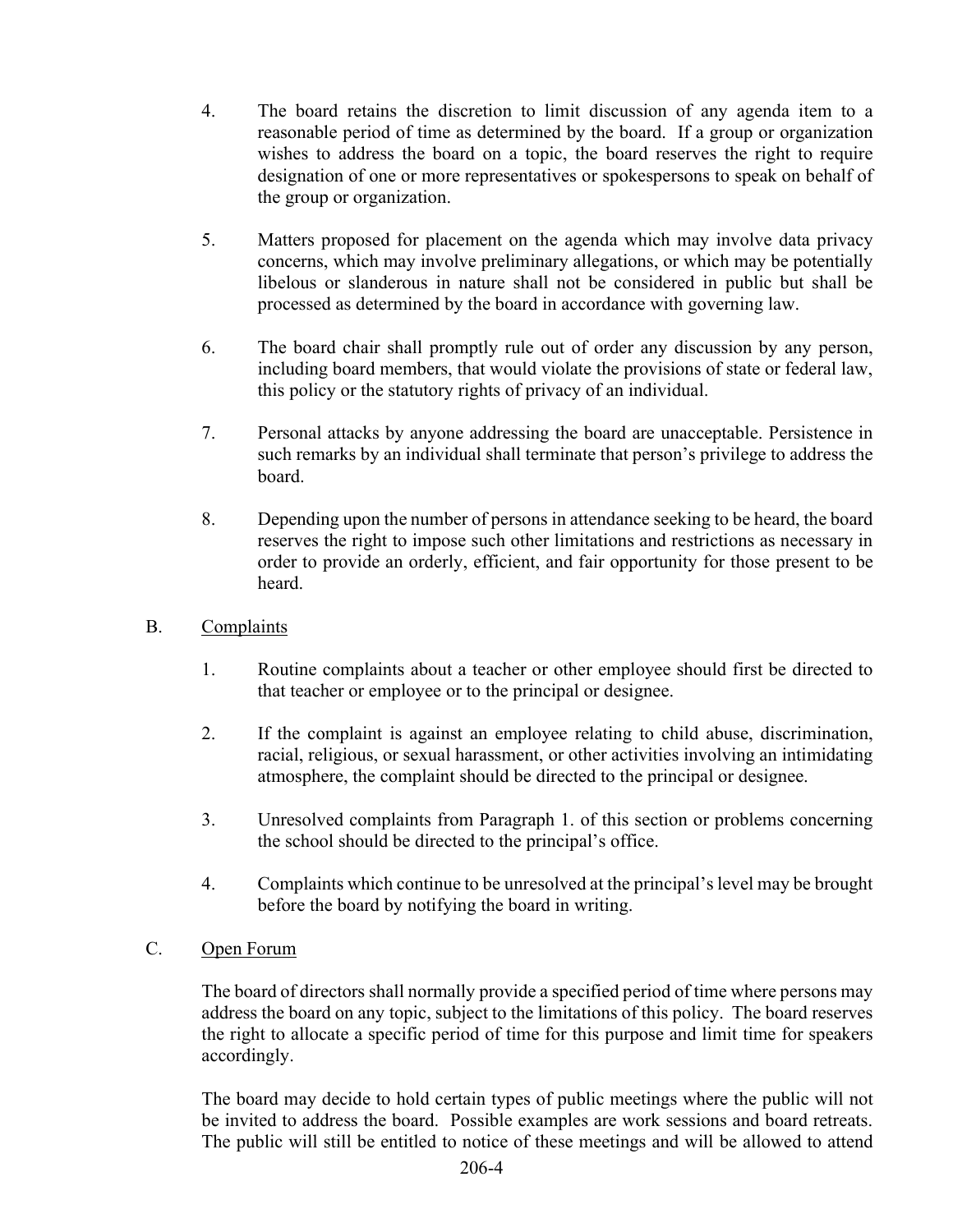- 4. The board retains the discretion to limit discussion of any agenda item to a reasonable period of time as determined by the board. If a group or organization wishes to address the board on a topic, the board reserves the right to require designation of one or more representatives or spokespersons to speak on behalf of the group or organization.
- 5. Matters proposed for placement on the agenda which may involve data privacy concerns, which may involve preliminary allegations, or which may be potentially libelous or slanderous in nature shall not be considered in public but shall be processed as determined by the board in accordance with governing law.
- 6. The board chair shall promptly rule out of order any discussion by any person, including board members, that would violate the provisions of state or federal law, this policy or the statutory rights of privacy of an individual.
- 7. Personal attacks by anyone addressing the board are unacceptable. Persistence in such remarks by an individual shall terminate that person's privilege to address the board.
- 8. Depending upon the number of persons in attendance seeking to be heard, the board reserves the right to impose such other limitations and restrictions as necessary in order to provide an orderly, efficient, and fair opportunity for those present to be heard.
- B. Complaints
	- 1. Routine complaints about a teacher or other employee should first be directed to that teacher or employee or to the principal or designee.
	- 2. If the complaint is against an employee relating to child abuse, discrimination, racial, religious, or sexual harassment, or other activities involving an intimidating atmosphere, the complaint should be directed to the principal or designee.
	- 3. Unresolved complaints from Paragraph 1. of this section or problems concerning the school should be directed to the principal's office.
	- 4. Complaints which continue to be unresolved at the principal's level may be brought before the board by notifying the board in writing.
- C. Open Forum

The board of directors shall normally provide a specified period of time where persons may address the board on any topic, subject to the limitations of this policy. The board reserves the right to allocate a specific period of time for this purpose and limit time for speakers accordingly.

The board may decide to hold certain types of public meetings where the public will not be invited to address the board. Possible examples are work sessions and board retreats. The public will still be entitled to notice of these meetings and will be allowed to attend